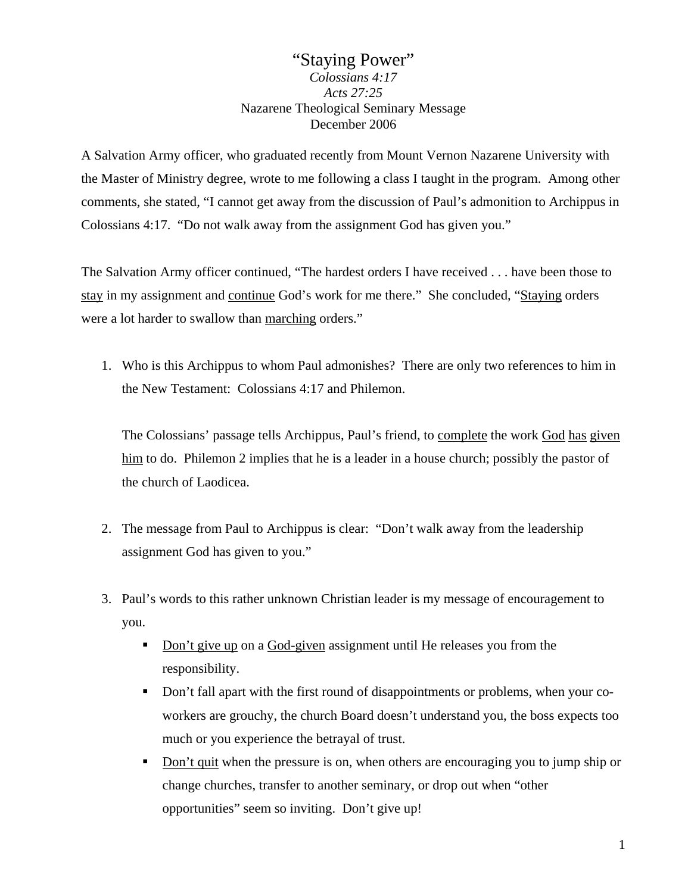# "Staying Power" *Colossians 4:17 Acts 27:25*  Nazarene Theological Seminary Message December 2006

A Salvation Army officer, who graduated recently from Mount Vernon Nazarene University with the Master of Ministry degree, wrote to me following a class I taught in the program. Among other comments, she stated, "I cannot get away from the discussion of Paul's admonition to Archippus in Colossians 4:17. "Do not walk away from the assignment God has given you."

The Salvation Army officer continued, "The hardest orders I have received . . . have been those to stay in my assignment and continue God's work for me there." She concluded, "Staying orders were a lot harder to swallow than marching orders."

1. Who is this Archippus to whom Paul admonishes? There are only two references to him in the New Testament: Colossians 4:17 and Philemon.

The Colossians' passage tells Archippus, Paul's friend, to complete the work God has given him to do. Philemon 2 implies that he is a leader in a house church; possibly the pastor of the church of Laodicea.

- 2. The message from Paul to Archippus is clear: "Don't walk away from the leadership assignment God has given to you."
- 3. Paul's words to this rather unknown Christian leader is my message of encouragement to you.
	- Don't give up on a God-given assignment until He releases you from the responsibility.
	- Don't fall apart with the first round of disappointments or problems, when your coworkers are grouchy, the church Board doesn't understand you, the boss expects too much or you experience the betrayal of trust.
	- Don't quit when the pressure is on, when others are encouraging you to jump ship or change churches, transfer to another seminary, or drop out when "other opportunities" seem so inviting. Don't give up!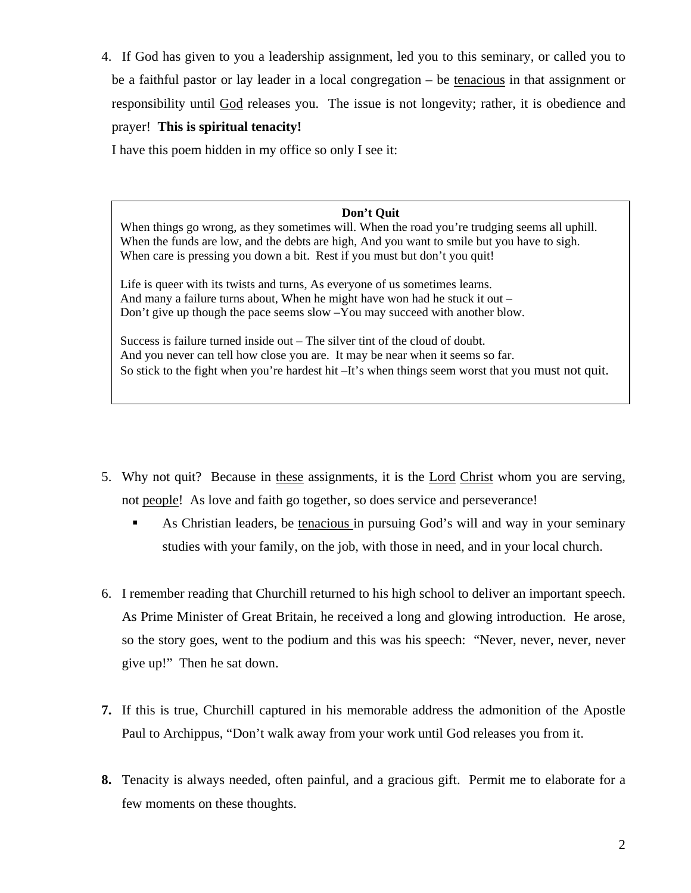4. If God has given to you a leadership assignment, led you to this seminary, or called you to be a faithful pastor or lay leader in a local congregation – be tenacious in that assignment or responsibility until God releases you. The issue is not longevity; rather, it is obedience and prayer! **This is spiritual tenacity!**

I have this poem hidden in my office so only I see it:

#### **Don't Quit**

When things go wrong, as they sometimes will. When the road you're trudging seems all uphill. When the funds are low, and the debts are high, And you want to smile but you have to sigh. When care is pressing you down a bit. Rest if you must but don't you quit!

Life is queer with its twists and turns, As everyone of us sometimes learns. And many a failure turns about, When he might have won had he stuck it out – Don't give up though the pace seems slow –You may succeed with another blow.

Success is failure turned inside out – The silver tint of the cloud of doubt. And you never can tell how close you are. It may be near when it seems so far. So stick to the fight when you're hardest hit –It's when things seem worst that you must not quit.

- 5. Why not quit? Because in these assignments, it is the Lord Christ whom you are serving, not people! As love and faith go together, so does service and perseverance!
	- As Christian leaders, be tenacious in pursuing God's will and way in your seminary studies with your family, on the job, with those in need, and in your local church.
- 6. I remember reading that Churchill returned to his high school to deliver an important speech. As Prime Minister of Great Britain, he received a long and glowing introduction. He arose, so the story goes, went to the podium and this was his speech: "Never, never, never, never give up!" Then he sat down.
- **7.** If this is true, Churchill captured in his memorable address the admonition of the Apostle Paul to Archippus, "Don't walk away from your work until God releases you from it.
- **8.** Tenacity is always needed, often painful, and a gracious gift. Permit me to elaborate for a few moments on these thoughts.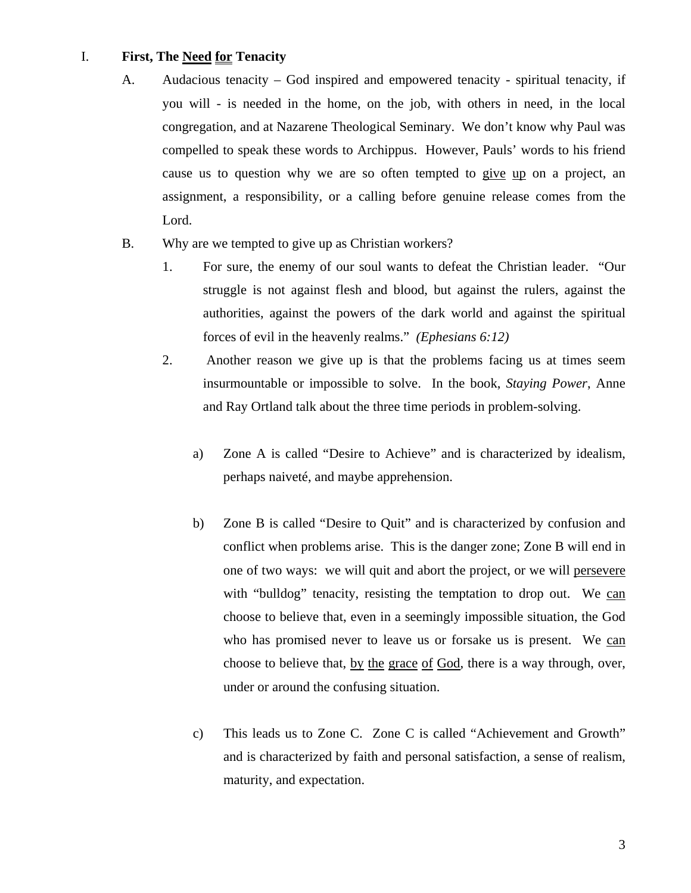### I. **First, The Need for Tenacity**

- A. Audacious tenacity God inspired and empowered tenacity spiritual tenacity, if you will - is needed in the home, on the job, with others in need, in the local congregation, and at Nazarene Theological Seminary. We don't know why Paul was compelled to speak these words to Archippus. However, Pauls' words to his friend cause us to question why we are so often tempted to give up on a project, an assignment, a responsibility, or a calling before genuine release comes from the Lord.
- B. Why are we tempted to give up as Christian workers?
	- 1. For sure, the enemy of our soul wants to defeat the Christian leader. "Our struggle is not against flesh and blood, but against the rulers, against the authorities, against the powers of the dark world and against the spiritual forces of evil in the heavenly realms." *(Ephesians 6:12)*
	- 2. Another reason we give up is that the problems facing us at times seem insurmountable or impossible to solve. In the book, *Staying Power*, Anne and Ray Ortland talk about the three time periods in problem-solving.
		- a) Zone A is called "Desire to Achieve" and is characterized by idealism, perhaps naiveté, and maybe apprehension.
		- b) Zone B is called "Desire to Quit" and is characterized by confusion and conflict when problems arise. This is the danger zone; Zone B will end in one of two ways: we will quit and abort the project, or we will persevere with "bulldog" tenacity, resisting the temptation to drop out. We can choose to believe that, even in a seemingly impossible situation, the God who has promised never to leave us or forsake us is present. We can choose to believe that, by the grace of God, there is a way through, over, under or around the confusing situation.
		- c) This leads us to Zone C. Zone C is called "Achievement and Growth" and is characterized by faith and personal satisfaction, a sense of realism, maturity, and expectation.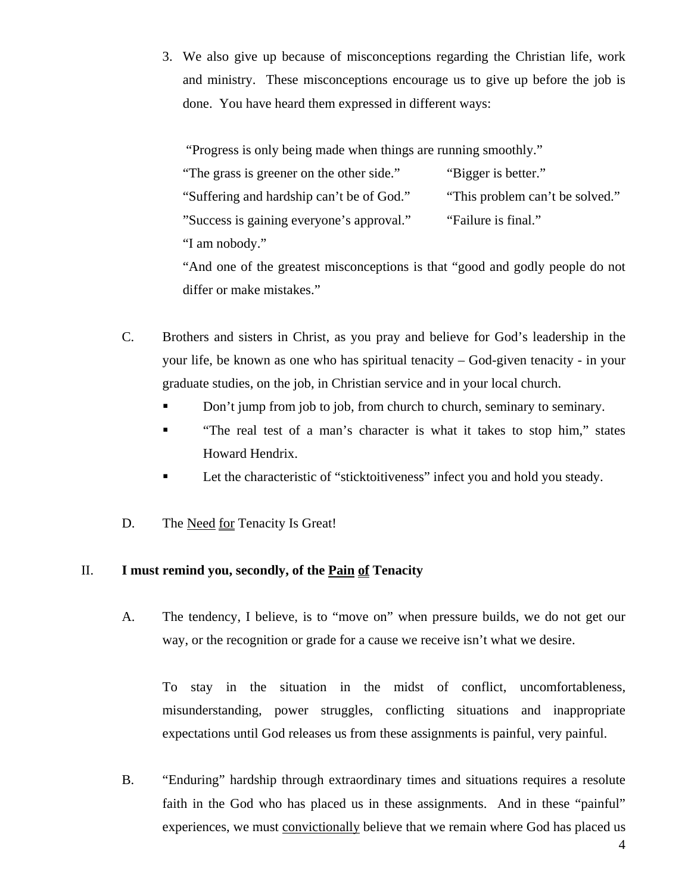3. We also give up because of misconceptions regarding the Christian life, work and ministry. These misconceptions encourage us to give up before the job is done. You have heard them expressed in different ways:

"Progress is only being made when things are running smoothly."

| "The grass is greener on the other side." | "Bigger is better."             |
|-------------------------------------------|---------------------------------|
| "Suffering and hardship can't be of God." | "This problem can't be solved." |
| "Success is gaining everyone's approval." | "Failure is final."             |
| "I am nobody."                            |                                 |

"And one of the greatest misconceptions is that "good and godly people do not differ or make mistakes."

- C. Brothers and sisters in Christ, as you pray and believe for God's leadership in the your life, be known as one who has spiritual tenacity – God-given tenacity - in your graduate studies, on the job, in Christian service and in your local church.
	- Don't jump from job to job, from church to church, seminary to seminary.
	- **The real test of a man's character is what it takes to stop him," states** Howard Hendrix.
	- Let the characteristic of "sticktoitiveness" infect you and hold you steady.
- D. The Need for Tenacity Is Great!

## II. **I must remind you, secondly, of the Pain of Tenacity**

A. The tendency, I believe, is to "move on" when pressure builds, we do not get our way, or the recognition or grade for a cause we receive isn't what we desire.

To stay in the situation in the midst of conflict, uncomfortableness, misunderstanding, power struggles, conflicting situations and inappropriate expectations until God releases us from these assignments is painful, very painful.

B. "Enduring" hardship through extraordinary times and situations requires a resolute faith in the God who has placed us in these assignments. And in these "painful" experiences, we must convictionally believe that we remain where God has placed us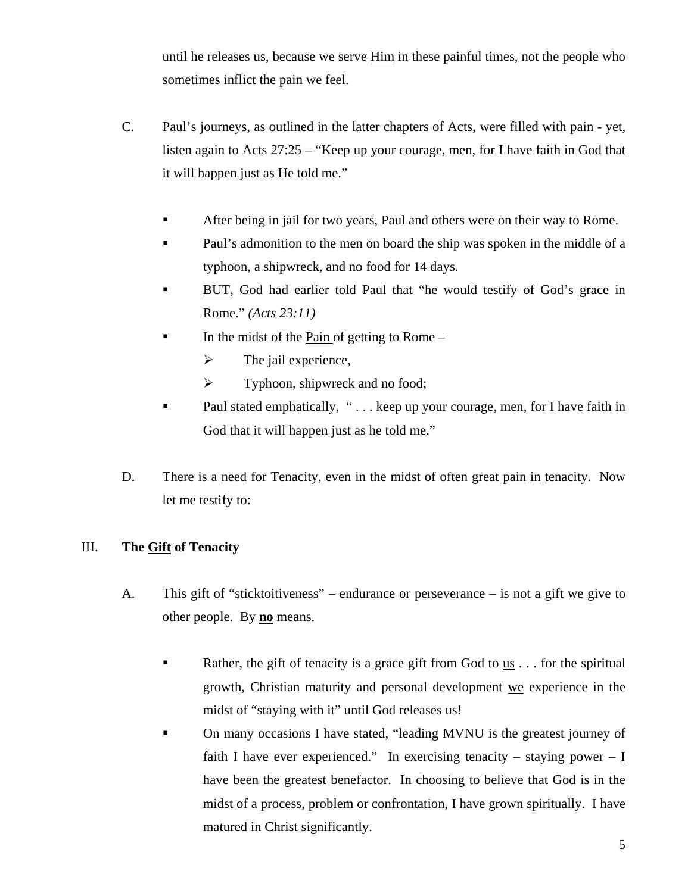until he releases us, because we serve Him in these painful times, not the people who sometimes inflict the pain we feel.

- C. Paul's journeys, as outlined in the latter chapters of Acts, were filled with pain yet, listen again to Acts 27:25 – "Keep up your courage, men, for I have faith in God that it will happen just as He told me."
	- After being in jail for two years, Paul and others were on their way to Rome.
	- Paul's admonition to the men on board the ship was spoken in the middle of a typhoon, a shipwreck, and no food for 14 days.
	- BUT, God had earlier told Paul that "he would testify of God's grace in Rome." *(Acts 23:11)*
	- In the midst of the Pain of getting to Rome
		- $\triangleright$  The jail experience,
		- $\triangleright$  Typhoon, shipwreck and no food;
	- **Paul stated emphatically, "... keep up your courage, men, for I have faith in** God that it will happen just as he told me."
- D. There is a need for Tenacity, even in the midst of often great pain in tenacity. Now let me testify to:

## III. **The Gift of Tenacity**

- A. This gift of "sticktoitiveness" endurance or perseverance is not a gift we give to other people. By **no** means.
	- Rather, the gift of tenacity is a grace gift from God to us  $\dots$  for the spiritual growth, Christian maturity and personal development we experience in the midst of "staying with it" until God releases us!
	- On many occasions I have stated, "leading MVNU is the greatest journey of faith I have ever experienced." In exercising tenacity – staying power – I have been the greatest benefactor. In choosing to believe that God is in the midst of a process, problem or confrontation, I have grown spiritually. I have matured in Christ significantly.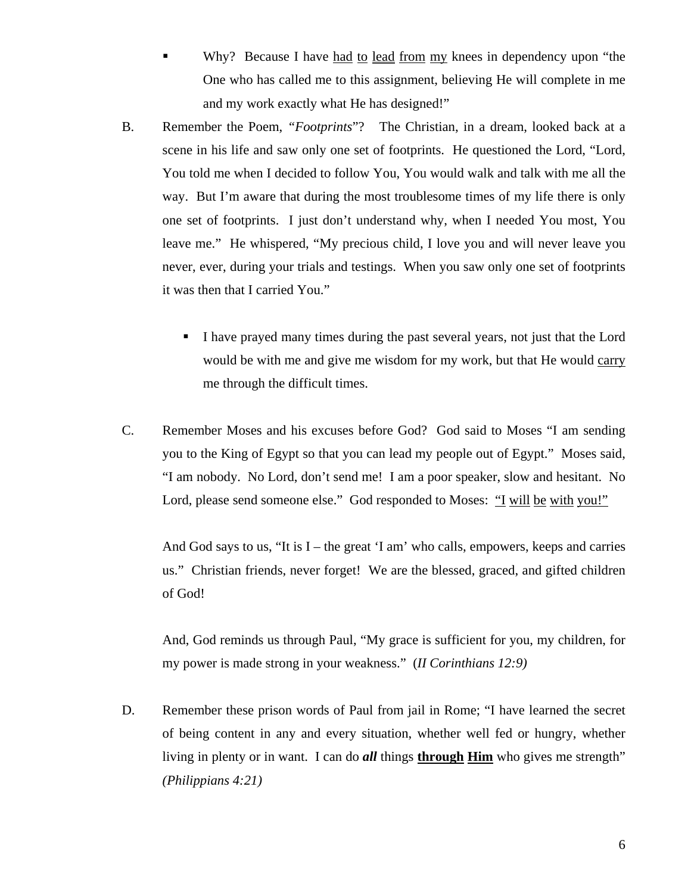Why? Because I have had to <u>lead</u> from my knees in dependency upon "the One who has called me to this assignment, believing He will complete in me and my work exactly what He has designed!"

- B. Remember the Poem, *"Footprints*"? The Christian, in a dream, looked back at a scene in his life and saw only one set of footprints. He questioned the Lord, "Lord, You told me when I decided to follow You, You would walk and talk with me all the way. But I'm aware that during the most troublesome times of my life there is only one set of footprints. I just don't understand why, when I needed You most, You leave me." He whispered, "My precious child, I love you and will never leave you never, ever, during your trials and testings. When you saw only one set of footprints it was then that I carried You."
	- I have prayed many times during the past several years, not just that the Lord would be with me and give me wisdom for my work, but that He would carry me through the difficult times.
- C. Remember Moses and his excuses before God? God said to Moses "I am sending you to the King of Egypt so that you can lead my people out of Egypt." Moses said, "I am nobody. No Lord, don't send me! I am a poor speaker, slow and hesitant. No Lord, please send someone else." God responded to Moses: "I will be with you!"

And God says to us, "It is  $I$  – the great 'I am' who calls, empowers, keeps and carries us." Christian friends, never forget! We are the blessed, graced, and gifted children of God!

And, God reminds us through Paul, "My grace is sufficient for you, my children, for my power is made strong in your weakness." (*II Corinthians 12:9)*

D. Remember these prison words of Paul from jail in Rome; "I have learned the secret of being content in any and every situation, whether well fed or hungry, whether living in plenty or in want. I can do *all* things **through Him** who gives me strength" *(Philippians 4:21)*